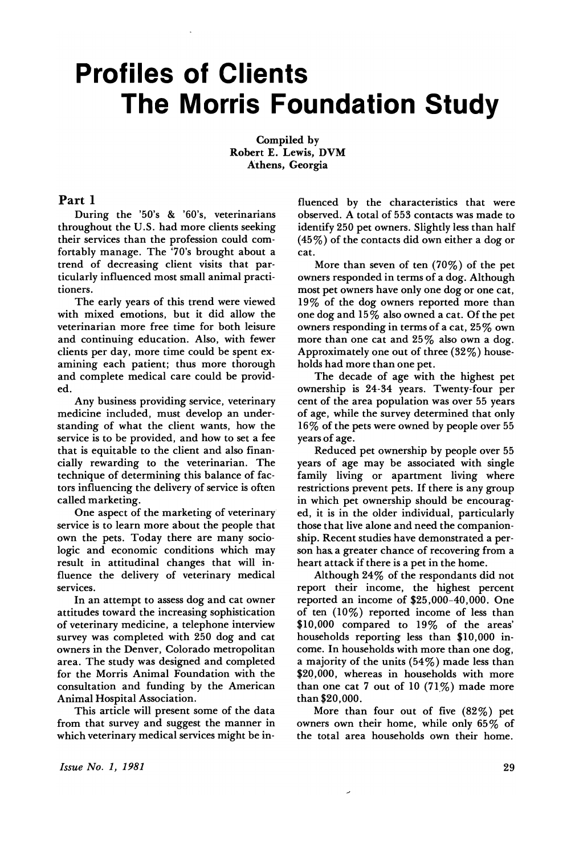# **Profiles of Clients The Morris Foundation Study**

Compiled by Robert E. Lewis, DVM Athens, Georgia

# Part 1

During the '50's & '60's, veterinarians throughout the U.S. had more clients seeking their services than the profession could comfortably manage. The '70's brought about a trend of decreasing client visits that particularly influenced most small animal practitioners.

The early years of this trend were viewed with mixed emotions, but it did allow the veterinarian more free time for both leisure and continuing education. Also, with fewer clients per day, more time could be spent examining each patient; thus more thorough and complete medical care could be provided.

Any business providing service, veterinary medicine included, must develop an understanding of what the client wants, how the service is to be provided, and how to set a fee that is equitable to the client and also financially rewarding to the veterinarian. The technique of determining this balance of factors influencing the delivery of service is often called marketing.

One aspect of the marketing of veterinary' service is to learn more about the people that own the pets. Today there are many sociologic and economic conditions which may result in attitudinal changes that will influence the delivery of veterinary medical services.

In an attempt to assess dog and cat owner attitudes toward the increasing sophistication of veterinary medicine, a telephone interview survey was completed with 250 dog and cat owners in the Denver, Colorado metropolitan area. The study was designed and completed for the Morris Animal Foundation with the consultation and funding by the American Animal Hospital Association.

This article will present some of the data from that survey and suggest the manner in which veterinary medical services might be influenced by the characteristics that were observed. A total of 553 contacts was made to identify 250 pet owners. Slightly less than half (45%) of the contacts did own either a dog or cat.

More than seven of ten (70%) of the pet owners responded in terms of a dog. Although most pet owners have only one dog or one cat, 19% of the dog owners reported more than one dog and 15% also owned a cat. Of the pet owners responding in terms of a cat, 25% own more than one cat and 25% also own a dog. Approximately one out of three (32%) households had more than one pet.

The decade of age with the highest pet ownership is 24-34 years. Twenty-four per cent of the area population was over 55 years of age, while the survey determined that only 16% of the pets were owned by people over 55 years of age.

Reduced pet ownership by people over 55 years of age may be associated with single family living or apartment living where restrictions prevent pets. If there is any group in which pet ownership should be encouraged, it is in the older individual, particularly those that live alone and need the companionship. Recent studies have demonstrated a person has. a greater chance of recovering from a heart attack if there is a pet in the home.

Although 24% of the respondants did not report their income, the highest percent reported an income of \$25,000-40,000. One of ten (10%) reported income of less than \$10,000 compared to 19% of the areas' households reporting less than \$10,000 income. In households with more than one dog, a majority of the units (54%) made less than \$2Q,000, whereas in households with more than one cat 7 out of 10  $(71\%)$  made more than \$20,000.

More than four out of five (82%) pet owners own their home, while only 65% of the total area households own their home.

*Issue No.1, 1981*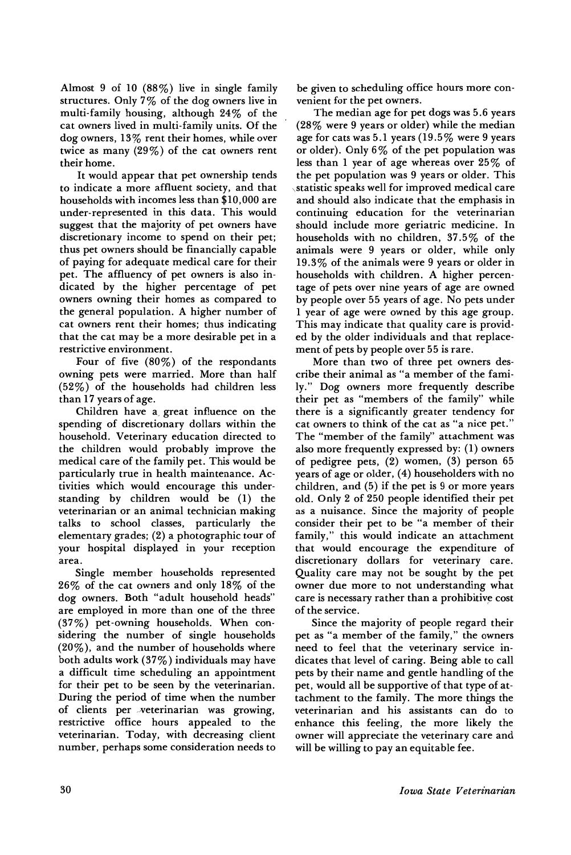Almost 9 of 10 (88%) live in single family structures. Only 7% of the dog owners live in multi-family housing, although 24% of the cat owners lived in multi-family units. Of the dog owners, 13% rent their homes, while over twice as many (29%) of the cat owners rent their home.

It would appear that pet ownership tends to indicate a more affluent society, and that households with incomes less than \$10,000 are under-represented in this data. This would suggest that the majority of pet owners have discretionary income to spend on their pet; thus pet owners should be financially capable of paying for adequate medical care for their pet. The affluency of pet owners is also indicated by the higher percentage of pet owners owning their homes as compared to the general population. A higher number of cat owners rent their homes; thus indicating that the cat may be a more desirable pet in a restrictive environment.

Four of five  $(80\%)$  of the respondants owning pets were married. More than half (52%) of the households had children less than 17 years of age.

Children have a great influence on the spending of discretionary dollars within the household. Veterinary education directed to the children would probably improve the medical care of the family pet. This would be particularly true in health maintenance. Activities which would encourage this understanding by children would be (1) the veterinarian or an animal technician making talks to school classes, particularly the elementary grades; (2) a photographic tour of your hospital displayed in your reception area.

Single member households represented 26% of the cat owners and only 18% of the dog owners. Both "adult household heads" are employed in more than one of the three (37%) pet-owning households. When considering the number of single households (20%), and the number of households where both adults work (37%) individuals may have a difficult time scheduling an appointment for their pet to be seen by the veterinarian. During the period of time when the number of clients per veterinarian was growing, restrictive office hours appealed to the veterinarian. Today, with decreasing client number, perhaps some consideration needs to

be given to scheduling office hours more convenient for the pet owners.

The median age for pet dogs was 5.6 years (28% were 9 years or older) while the median age for cats was 5.1 years (19.5% were 9 years or older). Only  $6\%$  of the pet population was less than 1 year of age whereas over 25% of the pet population was 9 years or older. This \statistic speaks well for improved medical care and should also indicate that the emphasis in continuing education for the veterinarian should include more geriatric medicine. In households with no children, 37.5% of the animals were 9 years or older, while only 19.3% of the animals were 9 years or older in households with children. A higher percentage of pets over nine years of age are owned by people over 55 years of age. No pets under 1 year of age were owned by this age group. This may indicate that quality care is provided by the older individuals and that replacement of pets by people over 55 is rare.

More than two of three pet owners describe their animal as "a member of the family." Dog owners more frequently describe their pet as "members of the family" while there is a significantly greater tendency for cat owners to think of the cat as "a nice pet." The "member of the family" attachment was also more frequently expressed by: (1) owners of pedigree pets, (2) women, (3) person 65 years of age or older, (4) householders with no children, and (5) if the pet is 9 or more years old. Only 2 of 250 people identified their pet as a nuisance. Since the majority of people consider their pet to be "a member of their family," this would indicate an attachment that would encourage the expenditure of discretionary dollars for veterinary care. Quality care may not be sought by the pet owner due more to not understanding what care is necessary rather than a prohibitive cost of the service.

Since the majority of people regard their pet as "a member of the family," the owners need to feel that the veterinary service indicates that level of caring. Being able to call pets by their name and gentle handling of the pet, would all be supportive of that type of attachment to the family. The more things the veterinarian and his assistants can do to enhance this feeling, the more likely the owner will appreciate the veterinary care and will be willing to pay an equitable fee.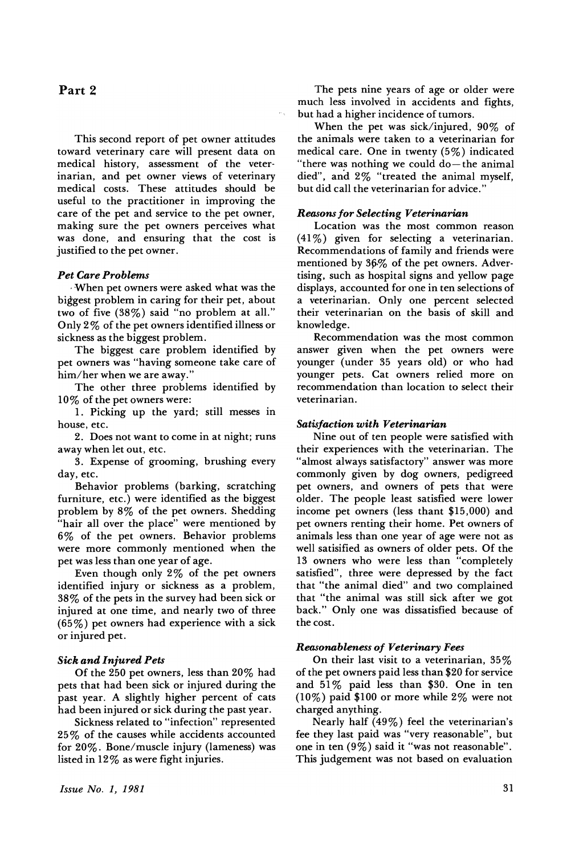# Part 2

This second report of pet owner attitudes toward veterinary care will present data on medical history, assessment of the veterinarian, and pet owner views of veterinary medical costs. These attitudes should be useful to the practitioner in improving the care of the pet and service to the pet owner, making sure the pet owners perceives what was done, and ensuring that the cost is justified to the pet owner.

# *Pet Care Problems*

.When pet owners were asked what was the biggest problem in caring for their pet, about two of five (38%) said "no problem at all." Only 2% of the pet owners identified illness or sickness as the biggest problem.

The biggest care problem identified by pet owners was "having someone take care of him/her when we are away."

The other three problems identified by 10% of the pet owners were:

1. Picking up the yard; still messes in house, etc.

2. Does not want to come in at night; runs away when let out, etc.

3. Expense of grooming, brushing every day, etc.

Behavior problems (barking, scratching furniture, etc.) were identified as the biggest problem by 8% of the pet owners. Shedding "hair all over the place" were mentioned by 6% of the pet owners. Behavior problems were more commonly mentioned when the pet was less than one year of age.

Even though only 2% of the pet owners identified injury or sickness as a problem, 38% of the pets in the survey had been sick or injured at one time, and nearly two of three (65%) pet owners had experience with a sick or injured pet.

# *Sick and Injured Pets*

Of the 250 pet owners, less than 20% had pets that had been sick or injured during the past year. A slightly higher percent of cats had been injured or sick during the past year.

Sickness related to "infection" represented 25% of the causes while accidents accounted for 20%. Bone/muscle injury (lameness) was listed in 12% as were fight injuries.

*Issue No.1, 1981*

The pets nine years of age or older were much less involved in accidents and fights, but had a higher incidence of tumors.

When the pet was sick/injured, 90% of the animals were taken to a veterinarian for medical care. One in twenty (5%) indicated "there was nothing we could  $do$ —the animal died", and 2% "treated the animal myself, but did call the veterinarian for advice.'

#### *Reasonsfor Selecting Veterinarian*

Location was the most common reason (41 %) given for selecting a veterinarian. Recommendations of family and friends were mentioned by 36% of the pet owners. Advertising, such as hospital signs and yellow page displays, accounted for one in ten selections of a veterinarian. Only one percent selected their veterinarian on the basis of skill and knowledge.

Recommendation was the most common answer given when the pet owners were younger (under 35 years old) or who had younger pets. Cat owners relied more on recommendation than location to select their veterinarian.

#### *Satisfaction with Veterinarian*

Nine out of ten people were satisfied with their experiences with the veterinarian. The "almost always satisfactory" answer was more commonly given by dog owners, pedigreed pet owners, and owners of pets that were older. The people least satisfied were lower income pet owners (less thant \$15,000) and pet owners renting their home. Pet owners of animals less than one year of age were not as well satisified as owners of older pets. Of the 13 owners who were less than "completely satisfied", three were depressed by the fact that "the animal died" and two complained that "the animal was still sick after we got back." Only one was dissatisfied because of the cost.

#### *Reasonableness of Veterinary Fees*

On their last visit to a veterinarian,  $35\%$ of the pet owners paid less than \$20 for service and  $51\%$  paid less than \$30. One in ten (10%) paid \$100 or more while 2% were not charged anything.

Nearly half (49%) feel the veterinarian's fee they last paid was "very reasonable", but one in ten (9%) said it "was not reasonable". This judgement was not based on evaluation